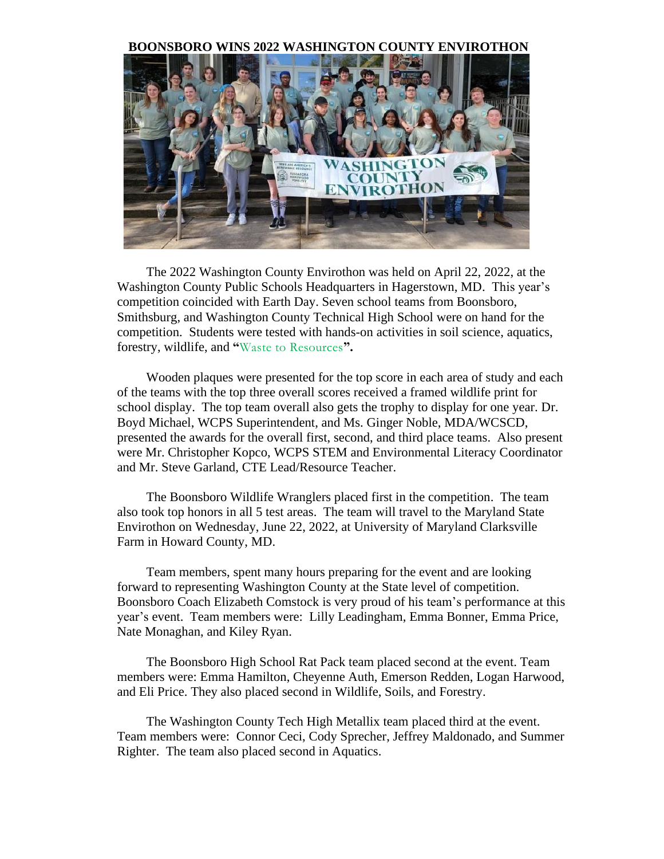#### **BOONSBORO WINS 2022 WASHINGTON COUNTY ENVIROTHON**



The 2022 Washington County Envirothon was held on April 22, 2022, at the Washington County Public Schools Headquarters in Hagerstown, MD. This year's competition coincided with Earth Day. Seven school teams from Boonsboro, Smithsburg, and Washington County Technical High School were on hand for the competition. Students were tested with hands-on activities in soil science, aquatics, forestry, wildlife, and **"**Waste to Resources**".**

Wooden plaques were presented for the top score in each area of study and each of the teams with the top three overall scores received a framed wildlife print for school display. The top team overall also gets the trophy to display for one year. Dr. Boyd Michael, WCPS Superintendent, and Ms. Ginger Noble, MDA/WCSCD, presented the awards for the overall first, second, and third place teams. Also present were Mr. Christopher Kopco, WCPS STEM and Environmental Literacy Coordinator and Mr. Steve Garland, CTE Lead/Resource Teacher.

The Boonsboro Wildlife Wranglers placed first in the competition. The team also took top honors in all 5 test areas. The team will travel to the Maryland State Envirothon on Wednesday, June 22, 2022, at University of Maryland Clarksville Farm in Howard County, MD.

Team members, spent many hours preparing for the event and are looking forward to representing Washington County at the State level of competition. Boonsboro Coach Elizabeth Comstock is very proud of his team's performance at this year's event. Team members were: Lilly Leadingham, Emma Bonner, Emma Price, Nate Monaghan, and Kiley Ryan.

The Boonsboro High School Rat Pack team placed second at the event. Team members were: Emma Hamilton, Cheyenne Auth, Emerson Redden, Logan Harwood, and Eli Price. They also placed second in Wildlife, Soils, and Forestry.

The Washington County Tech High Metallix team placed third at the event. Team members were: Connor Ceci, Cody Sprecher, Jeffrey Maldonado, and Summer Righter. The team also placed second in Aquatics.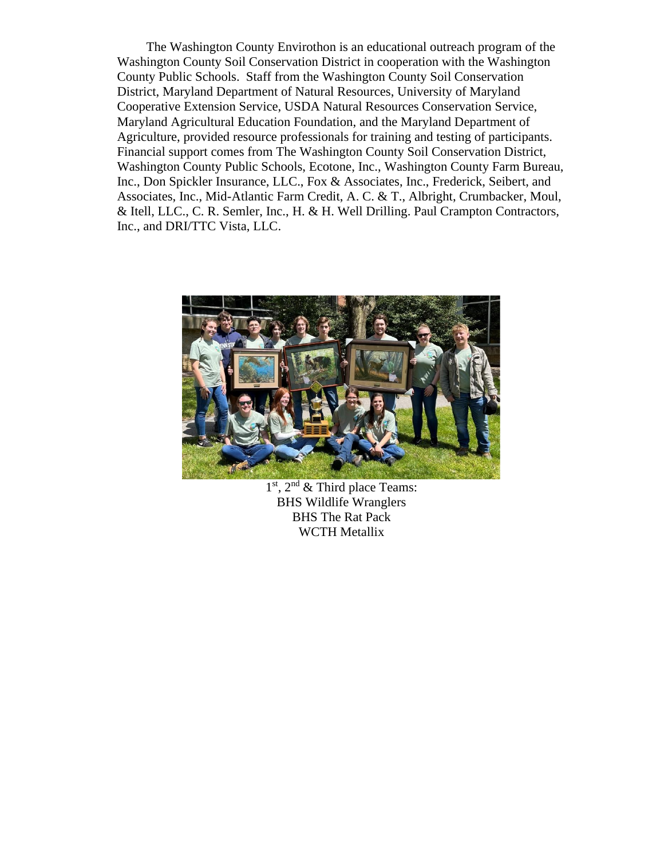The Washington County Envirothon is an educational outreach program of the Washington County Soil Conservation District in cooperation with the Washington County Public Schools. Staff from the Washington County Soil Conservation District, Maryland Department of Natural Resources, University of Maryland Cooperative Extension Service, USDA Natural Resources Conservation Service, Maryland Agricultural Education Foundation, and the Maryland Department of Agriculture, provided resource professionals for training and testing of participants. Financial support comes from The Washington County Soil Conservation District, Washington County Public Schools, Ecotone, Inc., Washington County Farm Bureau, Inc., Don Spickler Insurance, LLC., Fox & Associates, Inc., Frederick, Seibert, and Associates, Inc., Mid-Atlantic Farm Credit, A. C. & T., Albright, Crumbacker, Moul, & Itell, LLC., C. R. Semler, Inc., H. & H. Well Drilling. Paul Crampton Contractors, Inc., and DRI/TTC Vista, LLC.



1<sup>st</sup>, 2<sup>nd</sup> & Third place Teams: BHS Wildlife Wranglers BHS The Rat Pack WCTH Metallix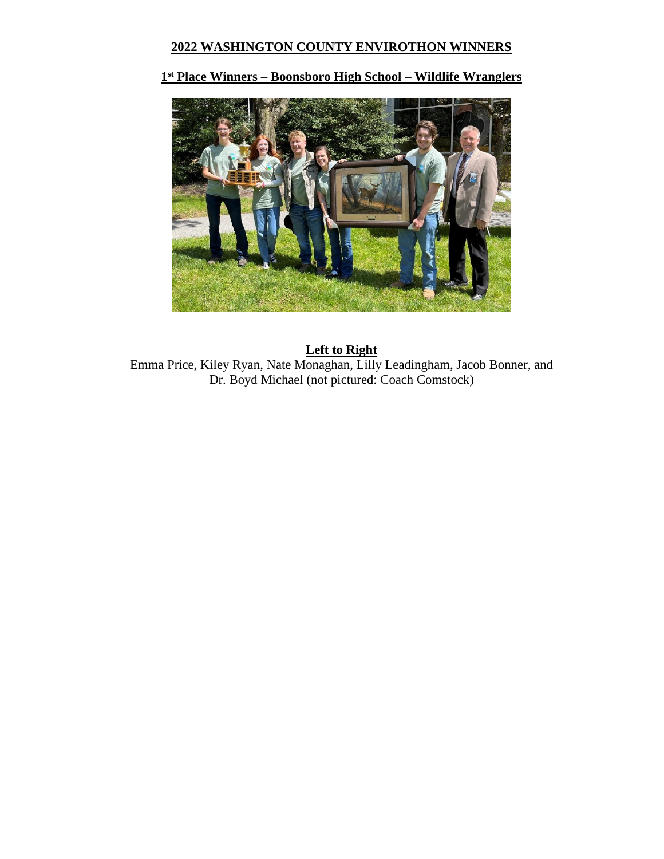# **2022 WASHINGTON COUNTY ENVIROTHON WINNERS**

## **1 st Place Winners – Boonsboro High School – Wildlife Wranglers**



## **Left to Right** Emma Price, Kiley Ryan, Nate Monaghan, Lilly Leadingham, Jacob Bonner, and Dr. Boyd Michael (not pictured: Coach Comstock)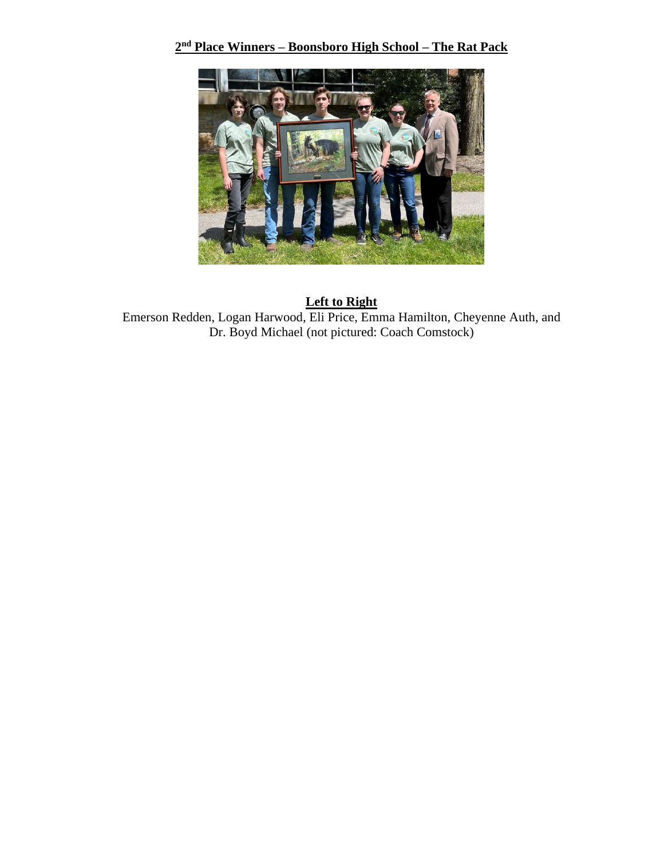#### **2 nd Place Winners – Boonsboro High School – The Rat Pack**



## **Left to Right** Emerson Redden, Logan Harwood, Eli Price, Emma Hamilton, Cheyenne Auth, and Dr. Boyd Michael (not pictured: Coach Comstock)